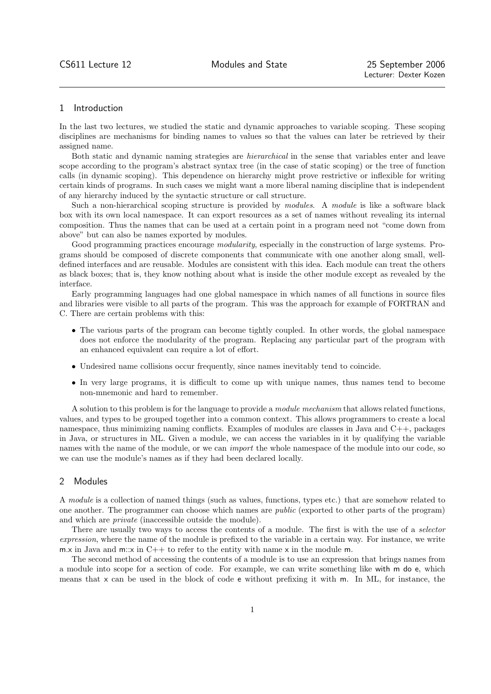## 1 Introduction

In the last two lectures, we studied the static and dynamic approaches to variable scoping. These scoping disciplines are mechanisms for binding names to values so that the values can later be retrieved by their assigned name.

Both static and dynamic naming strategies are hierarchical in the sense that variables enter and leave scope according to the program's abstract syntax tree (in the case of static scoping) or the tree of function calls (in dynamic scoping). This dependence on hierarchy might prove restrictive or inflexible for writing certain kinds of programs. In such cases we might want a more liberal naming discipline that is independent of any hierarchy induced by the syntactic structure or call structure.

Such a non-hierarchical scoping structure is provided by *modules*. A *module* is like a software black box with its own local namespace. It can export resources as a set of names without revealing its internal composition. Thus the names that can be used at a certain point in a program need not "come down from above" but can also be names exported by modules.

Good programming practices encourage *modularity*, especially in the construction of large systems. Programs should be composed of discrete components that communicate with one another along small, welldefined interfaces and are reusable. Modules are consistent with this idea. Each module can treat the others as black boxes; that is, they know nothing about what is inside the other module except as revealed by the interface.

Early programming languages had one global namespace in which names of all functions in source files and libraries were visible to all parts of the program. This was the approach for example of FORTRAN and C. There are certain problems with this:

- The various parts of the program can become tightly coupled. In other words, the global namespace does not enforce the modularity of the program. Replacing any particular part of the program with an enhanced equivalent can require a lot of effort.
- Undesired name collisions occur frequently, since names inevitably tend to coincide.
- In very large programs, it is difficult to come up with unique names, thus names tend to become non-mnemonic and hard to remember.

A solution to this problem is for the language to provide a module mechanism that allows related functions, values, and types to be grouped together into a common context. This allows programmers to create a local namespace, thus minimizing naming conflicts. Examples of modules are classes in Java and C++, packages in Java, or structures in ML. Given a module, we can access the variables in it by qualifying the variable names with the name of the module, or we can *import* the whole namespace of the module into our code, so we can use the module's names as if they had been declared locally.

# 2 Modules

A module is a collection of named things (such as values, functions, types etc.) that are somehow related to one another. The programmer can choose which names are public (exported to other parts of the program) and which are private (inaccessible outside the module).

There are usually two ways to access the contents of a module. The first is with the use of a *selector* expression, where the name of the module is prefixed to the variable in a certain way. For instance, we write m.x in Java and m:x in  $C++$  to refer to the entity with name x in the module m.

The second method of accessing the contents of a module is to use an expression that brings names from a module into scope for a section of code. For example, we can write something like with m do e, which means that x can be used in the block of code e without prefixing it with m. In ML, for instance, the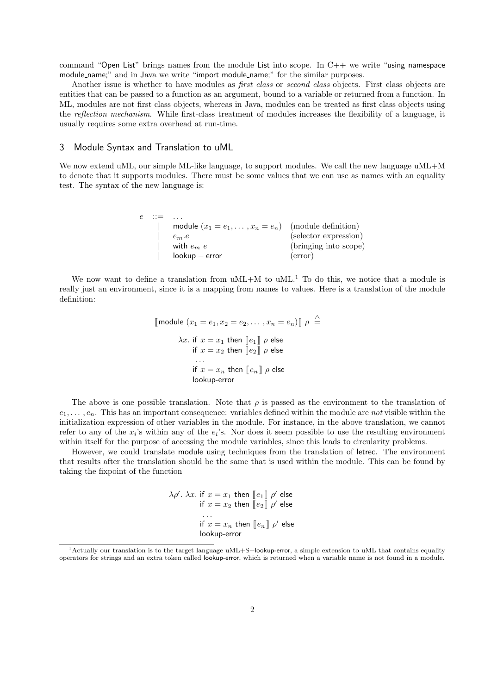command "Open List" brings names from the module List into scope. In  $C++$  we write "using namespace module name;" and in Java we write "import module name;" for the similar purposes.

Another issue is whether to have modules as *first class* or *second class* objects. First class objects are entities that can be passed to a function as an argument, bound to a variable or returned from a function. In ML, modules are not first class objects, whereas in Java, modules can be treated as first class objects using the reflection mechanism. While first-class treatment of modules increases the flexibility of a language, it usually requires some extra overhead at run-time.

### 3 Module Syntax and Translation to uML

We now extend uML, our simple ML-like language, to support modules. We call the new language uML+M to denote that it supports modules. There must be some values that we can use as names with an equality test. The syntax of the new language is:

| e | $\cdots =$ |                                                             |                       |
|---|------------|-------------------------------------------------------------|-----------------------|
|   |            | module $(x_1 = e_1, \ldots, x_n = e_n)$ (module definition) |                       |
|   |            | $e_m.e$                                                     | (selector expression) |
|   |            | with $e_m$ $e_a$                                            | (bringing into scope) |
|   |            | $lookup - error$                                            | (error)               |

We now want to define a translation from  $uML+M$  to  $uML<sup>1</sup>$  To do this, we notice that a module is really just an environment, since it is a mapping from names to values. Here is a translation of the module definition:

```
\llbracket \text{module } (x_1 = e_1, x_2 = e_2, \ldots, x_n = e_n) \rrbracket \rho \triangleq\lambda x. if x = x_1 then \llbracket e_1 \rrbracket \rho else
                  if x = x_2 then \overline{[e_2]} \rho else
                    . . .
                  if x = x_n then [\![e_n]\!] \rho else
                  lookup-error
```
The above is one possible translation. Note that  $\rho$  is passed as the environment to the translation of  $e_1, \ldots, e_n$ . This has an important consequence: variables defined within the module are not visible within the initialization expression of other variables in the module. For instance, in the above translation, we cannot refer to any of the  $x_i$ 's within any of the  $e_i$ 's. Nor does it seem possible to use the resulting environment within itself for the purpose of accessing the module variables, since this leads to circularity problems.

However, we could translate module using techniques from the translation of letrec. The environment that results after the translation should be the same that is used within the module. This can be found by taking the fixpoint of the function

> $\lambda \rho'$ .  $\lambda x$ . if  $x = x_1$  then  $\llbracket e_1 \rrbracket \; \rho'$  else if  $x = x_2$  then  $[\![ e_2 ]\!]$   $\rho'$  else . . . if  $x = x_n$  then  $[\![e_n]\!]$   $\rho'$  else lookup-error

 $1$ Actually our translation is to the target language uML+S+lookup-error, a simple extension to uML that contains equality operators for strings and an extra token called lookup-error, which is returned when a variable name is not found in a module.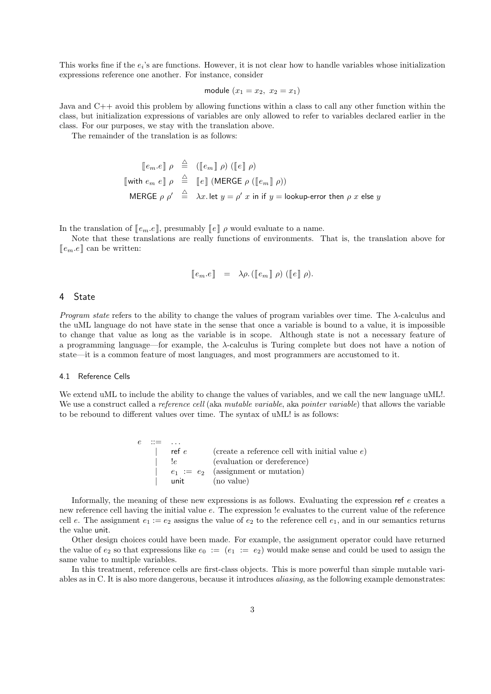This works fine if the  $e_i$ 's are functions. However, it is not clear how to handle variables whose initialization expressions reference one another. For instance, consider

module 
$$
(x_1 = x_2, x_2 = x_1)
$$

Java and C++ avoid this problem by allowing functions within a class to call any other function within the class, but initialization expressions of variables are only allowed to refer to variables declared earlier in the class. For our purposes, we stay with the translation above.

The remainder of the translation is as follows:

$$
\begin{array}{rcl}\n\llbracket e_m.e \rrbracket & \rho & \stackrel{\triangle}{=} & (\llbracket e_m \rrbracket & \rho) & (\llbracket e \rrbracket & \rho) \\
\llbracket \text{with } e_m e \rrbracket & \rho & \stackrel{\triangle}{=} & \llbracket e \rrbracket & (\text{MERGE } \rho & (\llbracket e_m \rrbracket & \rho)) \\
\text{MERGE } \rho & \stackrel{\triangle}{=} & \lambda x. \text{ let } y = \rho' \ x \text{ in if } y = \text{lookup-error then } \rho \ x \text{ else } y\n\end{array}
$$

In the translation of  $[e_m,e]$ , presumably  $[e] \rho$  would evaluate to a name.

Note that these translations are really functions of environments. That is, the translation above for  $[e_m.e]$  can be written:

$$
\llbracket e_m.e \rrbracket = \lambda \rho. (\llbracket e_m \rrbracket \rho) (\llbracket e \rrbracket \rho).
$$

### 4 State

Program state refers to the ability to change the values of program variables over time. The  $\lambda$ -calculus and the uML language do not have state in the sense that once a variable is bound to a value, it is impossible to change that value as long as the variable is in scope. Although state is not a necessary feature of a programming language—for example, the  $\lambda$ -calculus is Turing complete but does not have a notion of state—it is a common feature of most languages, and most programmers are accustomed to it.

#### 4.1 Reference Cells

We extend uML to include the ability to change the values of variables, and we call the new language uML!. We use a construct called a *reference cell* (aka *mutable variable*, aka *pointer variable*) that allows the variable to be rebound to different values over time. The syntax of uML! is as follows:

> $e$  ::= ... | ref  $e$  (create a reference cell with initial value  $e$ ) | !e (evaluation or dereference)  $\vert$   $e_1 := e_2$  (assignment or mutation) | unit (no value)

Informally, the meaning of these new expressions is as follows. Evaluating the expression ref e creates a new reference cell having the initial value e. The expression !e evaluates to the current value of the reference cell e. The assignment  $e_1 := e_2$  assigns the value of  $e_2$  to the reference cell  $e_1$ , and in our semantics returns the value unit.

Other design choices could have been made. For example, the assignment operator could have returned the value of  $e_2$  so that expressions like  $e_0 := (e_1 := e_2)$  would make sense and could be used to assign the same value to multiple variables.

In this treatment, reference cells are first-class objects. This is more powerful than simple mutable variables as in C. It is also more dangerous, because it introduces aliasing, as the following example demonstrates: